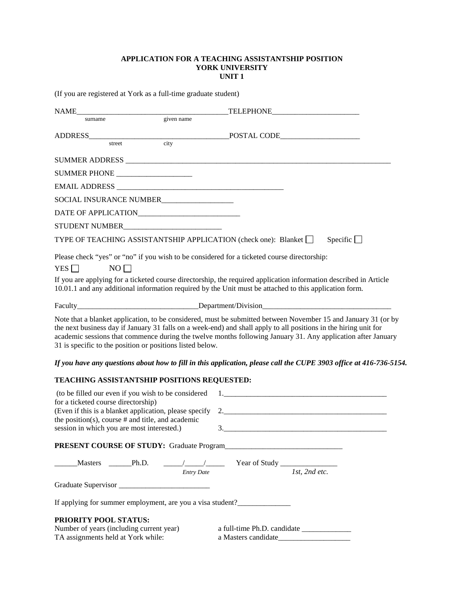#### **APPLICATION FOR A TEACHING ASSISTANTSHIP POSITION YORK UNIVERSITY UNIT 1**

(If you are registered at York as a full-time graduate student) NAME\_\_\_\_\_\_\_\_\_\_\_\_\_\_\_\_\_\_\_\_\_\_\_\_\_\_\_\_\_\_\_\_\_\_\_\_\_\_\_\_TELEPHONE\_\_\_\_\_\_\_\_\_\_\_\_\_\_\_\_\_\_\_\_\_\_\_ surname given name ADDRESS\_\_\_\_\_\_\_\_\_\_\_\_\_\_\_\_\_\_\_\_\_\_\_\_\_\_\_\_\_\_\_\_\_\_\_\_\_POSTAL CODE\_\_\_\_\_\_\_\_\_\_\_\_\_\_\_\_\_\_\_\_\_ street city SUMMER ADDRESS SUMMER PHONE \_\_\_\_\_\_\_\_\_\_\_\_\_\_\_\_\_\_\_\_\_\_\_ EMAIL ADDRESS SOCIAL INSURANCE NUMBER\_\_\_\_\_\_\_\_\_\_\_\_\_\_\_\_\_\_\_ DATE OF APPLICATION STUDENT NUMBER\_\_\_\_\_\_\_\_\_\_\_\_\_\_\_\_\_\_\_\_\_\_\_\_\_\_ TYPE OF TEACHING ASSISTANTSHIP APPLICATION (check one): Blanket  $\Box$  Specific  $\Box$ Please check "yes" or "no" if you wish to be considered for a ticketed course directorship:  $YES \Box$  NO $\Box$ If you are applying for a ticketed course directorship, the required application information described in Article 10.01.1 and any additional information required by the Unit must be attached to this application form. Faculty\_\_\_\_\_\_\_\_\_\_\_\_\_\_\_\_\_\_\_\_\_\_\_\_\_\_\_\_\_\_\_\_Department/Division\_\_\_\_\_\_\_\_\_\_\_\_\_\_\_\_\_\_\_\_\_\_\_\_\_\_\_\_\_\_\_\_\_\_ Note that a blanket application, to be considered, must be submitted between November 15 and January 31 (or by the next business day if January 31 falls on a week-end) and shall apply to all positions in the hiring unit for academic sessions that commence during the twelve months following January 31. Any application after January 31 is specific to the position or positions listed below. *If you have any questions about how to fill in this application, please call the CUPE 3903 office at 416-736-5154.* **TEACHING ASSISTANTSHIP POSITIONS REQUESTED:** (to be filled our even if you wish to be considered  $1$ . for a ticketed course directorship) (Even if this is a blanket application, please specify  $2.$ the position(s), course  $#$  and title, and academic session in which you are most interested.) 3. PRESENT COURSE OF STUDY: Graduate Program\_\_\_\_\_\_ Masters Ph.D.  $\frac{1}{2}$  Year of Study *Entry Date**1st, 2nd etc.* Graduate Supervisor \_\_\_\_\_\_\_\_\_\_\_\_\_\_\_\_\_\_\_\_\_\_\_\_ If applying for summer employment, are you a visa student?\_\_\_\_\_\_\_\_\_\_\_\_\_\_\_\_\_\_\_\_\_\_

#### **PRIORITY POOL STATUS:**

Number of years (including current year) a full-time Ph.D. candidate \_\_\_\_\_\_\_\_\_\_\_ TA assignments held at York while: a Masters candidate\_\_\_\_\_\_\_\_\_\_\_\_\_\_\_\_\_\_\_\_\_\_\_\_\_\_\_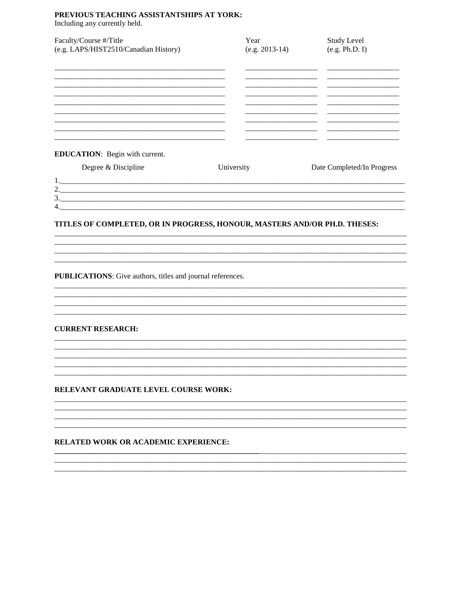### PREVIOUS TEACHING ASSISTANTSHIPS AT YORK:

Including any currently held.

| Faculty/Course #/Title<br>(e.g. LAPS/HIST2510/Canadian History)           | Year<br>$(e.g. 2013-14)$ | <b>Study Level</b><br>(e.g. Ph.D. I) |
|---------------------------------------------------------------------------|--------------------------|--------------------------------------|
|                                                                           |                          |                                      |
|                                                                           |                          |                                      |
|                                                                           |                          |                                      |
| <b>EDUCATION:</b> Begin with current.                                     |                          |                                      |
| Degree & Discipline                                                       | University               | Date Completed/In Progress           |
|                                                                           |                          |                                      |
|                                                                           |                          |                                      |
|                                                                           |                          |                                      |
| TITLES OF COMPLETED, OR IN PROGRESS, HONOUR, MASTERS AND/OR PH.D. THESES: |                          |                                      |
|                                                                           |                          |                                      |
|                                                                           |                          |                                      |
|                                                                           |                          |                                      |
| PUBLICATIONS: Give authors, titles and journal references.                |                          |                                      |
|                                                                           |                          |                                      |
|                                                                           |                          |                                      |
|                                                                           |                          |                                      |
|                                                                           |                          |                                      |
| <b>CURRENT RESEARCH:</b>                                                  |                          |                                      |
|                                                                           |                          |                                      |
|                                                                           |                          |                                      |
| RELEVANT GRADUATE LEVEL COURSE WORK:                                      |                          |                                      |
|                                                                           |                          |                                      |
| RELATED WORK OR ACADEMIC EXPERIENCE:                                      |                          |                                      |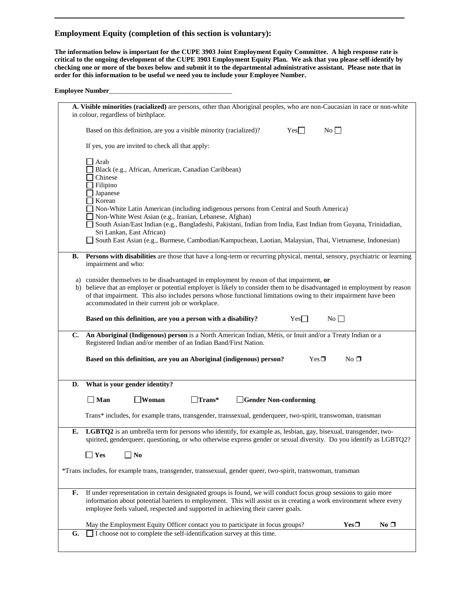## **Employment Equity (completion of this section is voluntary):**

**The information below is important for the CUPE 3903 Joint Employment Equity Committee. A high response rate is critical to the ongoing development of the CUPE 3903 Employment Equity Plan. We ask that you please self-identify by checking one or more of the boxes below and submit it to the departmental administrative assistant. Please note that in order for this information to be useful we need you to include your Employee Number.**

**\_\_\_\_\_\_\_\_\_\_\_\_\_\_\_\_\_\_\_\_\_\_\_\_\_\_\_\_\_\_\_\_\_\_\_\_\_\_\_\_\_\_\_\_\_\_\_\_\_\_\_\_\_\_\_\_\_\_\_\_\_\_\_\_\_\_\_\_\_\_\_\_\_\_\_\_\_\_\_\_\_\_\_\_\_\_ \_\_\_\_\_\_**

|    | A. Visible minorities (racialized) are persons, other than Aboriginal peoples, who are non-Caucasian in race or non-white<br>in colour, regardless of birthplace.                                                                                                                                                                                                                                                                                                                                                                 |
|----|-----------------------------------------------------------------------------------------------------------------------------------------------------------------------------------------------------------------------------------------------------------------------------------------------------------------------------------------------------------------------------------------------------------------------------------------------------------------------------------------------------------------------------------|
|    | Based on this definition, are you a visible minority (racialized)?<br>$Yes \Box$<br>No                                                                                                                                                                                                                                                                                                                                                                                                                                            |
|    | If yes, you are invited to check all that apply:                                                                                                                                                                                                                                                                                                                                                                                                                                                                                  |
|    | T Arab<br>Black (e.g., African, American, Canadian Caribbean)<br>$\Box$ Chinese<br>Filipino<br>Japanese<br>Korean<br>Non-White Latin American (including indigenous persons from Central and South America)<br>Non-White West Asian (e.g., Iranian, Lebanese, Afghan)<br>South Asian/East Indian (e.g., Bangladeshi, Pakistani, Indian from India, East Indian from Guyana, Trinidadian,<br>Sri Lankan, East African)<br>South East Asian (e.g., Burmese, Cambodian/Kampuchean, Laotian, Malaysian, Thai, Vietnamese, Indonesian) |
| В. | Persons with disabilities are those that have a long-term or recurring physical, mental, sensory, psychiatric or learning<br>impairment and who:                                                                                                                                                                                                                                                                                                                                                                                  |
|    | a) consider themselves to be disadvantaged in employment by reason of that impairment, or<br>b) believe that an employer or potential employer is likely to consider them to be disadvantaged in employment by reason<br>of that impairment. This also includes persons whose functional limitations owing to their impairment have been<br>accommodated in their current job or workplace.<br>Yes<br>No<br>Based on this definition, are you a person with a disability?                                                         |
| C. | An Aboriginal (Indigenous) person is a North American Indian, Métis, or Inuit and/or a Treaty Indian or a                                                                                                                                                                                                                                                                                                                                                                                                                         |
|    | Registered Indian and/or member of an Indian Band/First Nation.<br>$Yes \Box$<br>$No$ $\square$<br>Based on this definition, are you an Aboriginal (indigenous) person?                                                                                                                                                                                                                                                                                                                                                           |
| D. | What is your gender identity?                                                                                                                                                                                                                                                                                                                                                                                                                                                                                                     |
|    | $\Box$ Man<br>$\Box$ Woman<br>$\Box$ Trans*<br>Gender Non-conforming                                                                                                                                                                                                                                                                                                                                                                                                                                                              |
|    | Trans* includes, for example trans, transgender, transsexual, genderqueer, two-spirit, transwoman, transman                                                                                                                                                                                                                                                                                                                                                                                                                       |
| E. | LGBTQ2 is an umbrella term for persons who identify, for example as, lesbian, gay, bisexual, transgender, two-<br>spirited, genderqueer, questioning, or who otherwise express gender or sexual diversity. Do you identify as LGBTQ2?                                                                                                                                                                                                                                                                                             |
|    | $\Box$ Yes<br>$\Box$ No                                                                                                                                                                                                                                                                                                                                                                                                                                                                                                           |
|    | *Trans includes, for example trans, transgender, transsexual, gender queer, two-spirit, transwoman, transman                                                                                                                                                                                                                                                                                                                                                                                                                      |
| F. | If under representation in certain designated groups is found, we will conduct focus group sessions to gain more<br>information about potential barriers to employment. This will assist us in creating a work environment where every<br>employee feels valued, respected and supported in achieving their career goals.                                                                                                                                                                                                         |
|    | May the Employment Equity Officer contact you to participate in focus groups?<br>$Yes \Box$<br>$No \Box$                                                                                                                                                                                                                                                                                                                                                                                                                          |
| G. | $\Box$ I choose not to complete the self-identification survey at this time.                                                                                                                                                                                                                                                                                                                                                                                                                                                      |